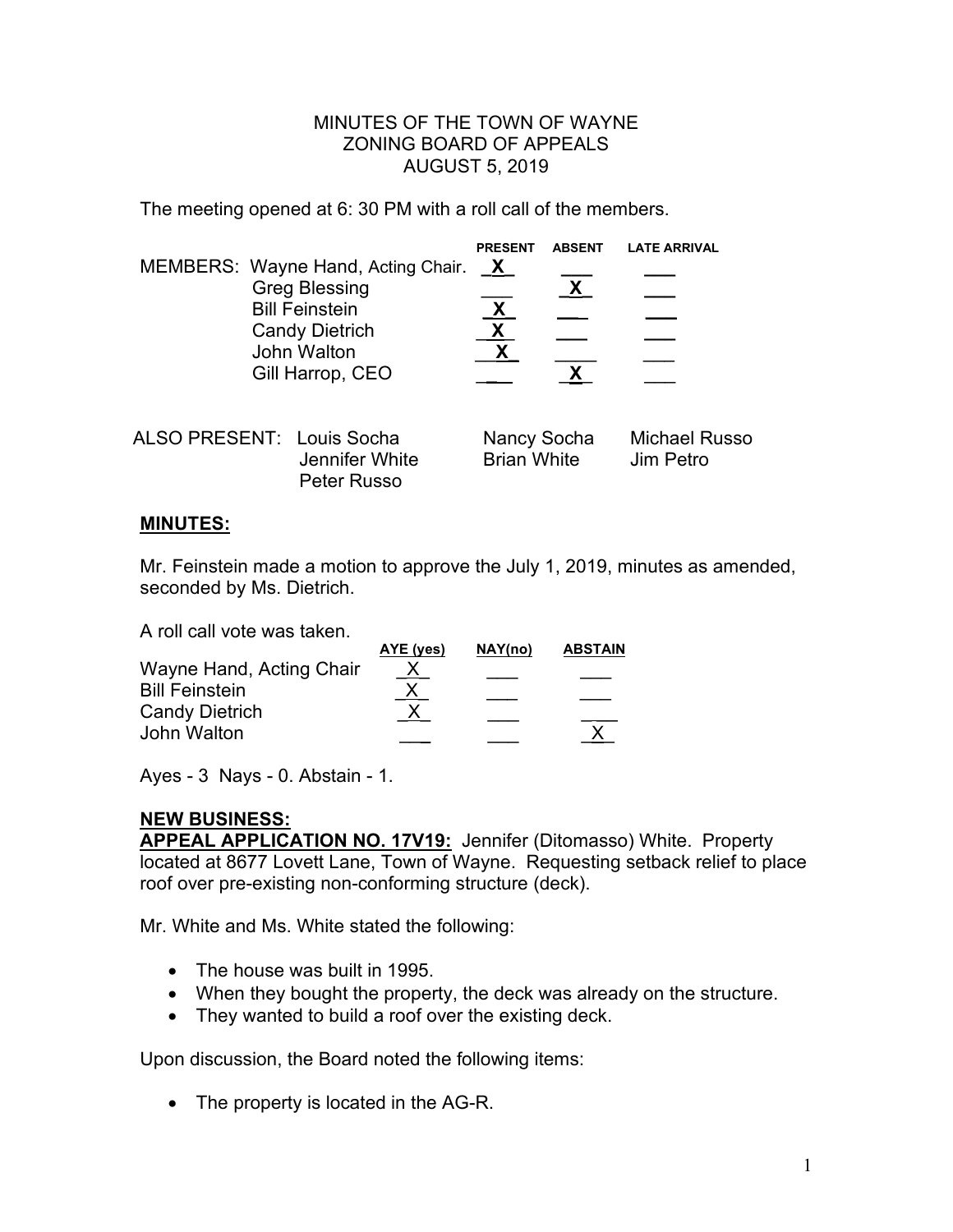## MINUTES OF THE TOWN OF WAYNE ZONING BOARD OF APPEALS AUGUST 5, 2019

The meeting opened at 6: 30 PM with a roll call of the members.

|                                                                                                                                                 | <b>PRESENT</b> | <b>ABSENT</b> | <b>LATE ARRIVAL</b> |
|-------------------------------------------------------------------------------------------------------------------------------------------------|----------------|---------------|---------------------|
| MEMBERS: Wayne Hand, Acting Chair.<br><b>Greg Blessing</b><br><b>Bill Feinstein</b><br><b>Candy Dietrich</b><br>John Walton<br>Gill Harrop, CEO | <u>_X_</u>     |               |                     |
| AL SO DDESENT: Louis Socho                                                                                                                      | Nancy Socho    |               | Michool Pus         |

| ALSO PRESENT: Louis Socha |                | Nancy Socha | Michael Russo |
|---------------------------|----------------|-------------|---------------|
|                           | Jennifer White | Brian White | Jim Petro     |
|                           | Peter Russo    |             |               |

## **MINUTES:**

Mr. Feinstein made a motion to approve the July 1, 2019, minutes as amended, seconded by Ms. Dietrich.

A roll call vote was taken.

|                          | AYE (yes) | NAY(no) | <b>ABSTAIN</b> |
|--------------------------|-----------|---------|----------------|
| Wayne Hand, Acting Chair | <u>X</u>  |         |                |
| <b>Bill Feinstein</b>    | х         |         |                |
| <b>Candy Dietrich</b>    |           |         |                |
| John Walton              |           |         |                |

Ayes - 3 Nays - 0. Abstain - 1.

## **NEW BUSINESS:**

**APPEAL APPLICATION NO. 17V19:** Jennifer (Ditomasso) White. Property located at 8677 Lovett Lane, Town of Wayne. Requesting setback relief to place roof over pre-existing non-conforming structure (deck).

Mr. White and Ms. White stated the following:

- The house was built in 1995.
- When they bought the property, the deck was already on the structure.
- They wanted to build a roof over the existing deck.

Upon discussion, the Board noted the following items:

• The property is located in the AG-R.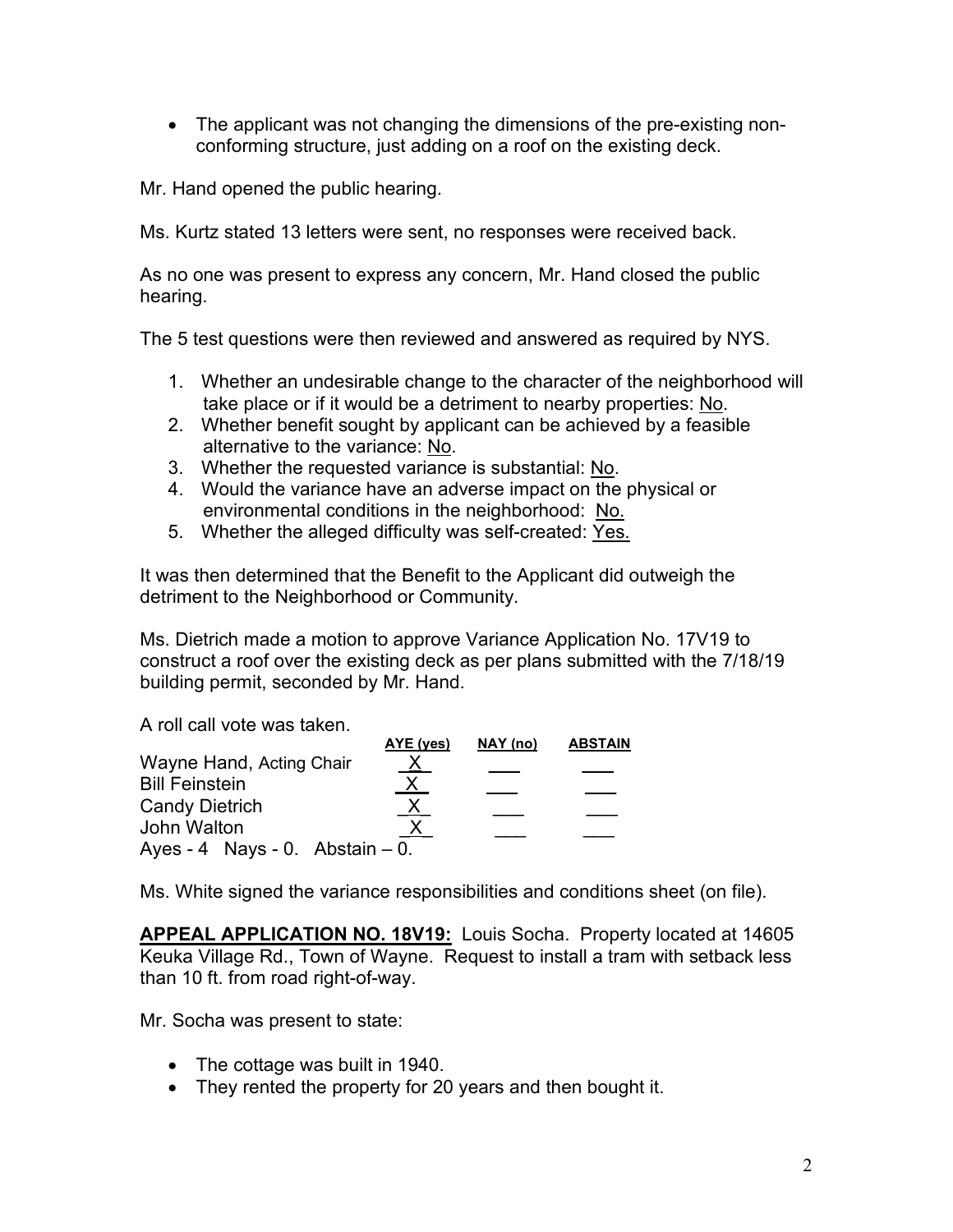The applicant was not changing the dimensions of the pre-existing nonconforming structure, just adding on a roof on the existing deck.

Mr. Hand opened the public hearing.

Ms. Kurtz stated 13 letters were sent, no responses were received back.

As no one was present to express any concern, Mr. Hand closed the public hearing.

The 5 test questions were then reviewed and answered as required by NYS.

- 1. Whether an undesirable change to the character of the neighborhood will take place or if it would be a detriment to nearby properties: No.
- 2. Whether benefit sought by applicant can be achieved by a feasible alternative to the variance: No.
- 3. Whether the requested variance is substantial: No.
- 4. Would the variance have an adverse impact on the physical or environmental conditions in the neighborhood: No.
- 5. Whether the alleged difficulty was self-created: Yes.

It was then determined that the Benefit to the Applicant did outweigh the detriment to the Neighborhood or Community.

Ms. Dietrich made a motion to approve Variance Application No. 17V19 to construct a roof over the existing deck as per plans submitted with the 7/18/19 building permit, seconded by Mr. Hand.

A roll call vote was taken.

|                                   | AYE (yes) | NAY (no) | <b>ABSTAIN</b> |
|-----------------------------------|-----------|----------|----------------|
| Wayne Hand, Acting Chair          | <u>X.</u> |          |                |
| <b>Bill Feinstein</b>             | <u>X</u>  |          |                |
| <b>Candy Dietrich</b>             |           |          |                |
| John Walton                       |           |          |                |
| Ayes - 4 Nays - 0. Abstain $-0$ . |           |          |                |

Ms. White signed the variance responsibilities and conditions sheet (on file).

**APPEAL APPLICATION NO. 18V19:** Louis Socha. Property located at 14605 Keuka Village Rd., Town of Wayne. Request to install a tram with setback less than 10 ft. from road right-of-way.

Mr. Socha was present to state:

- The cottage was built in 1940.
- They rented the property for 20 years and then bought it.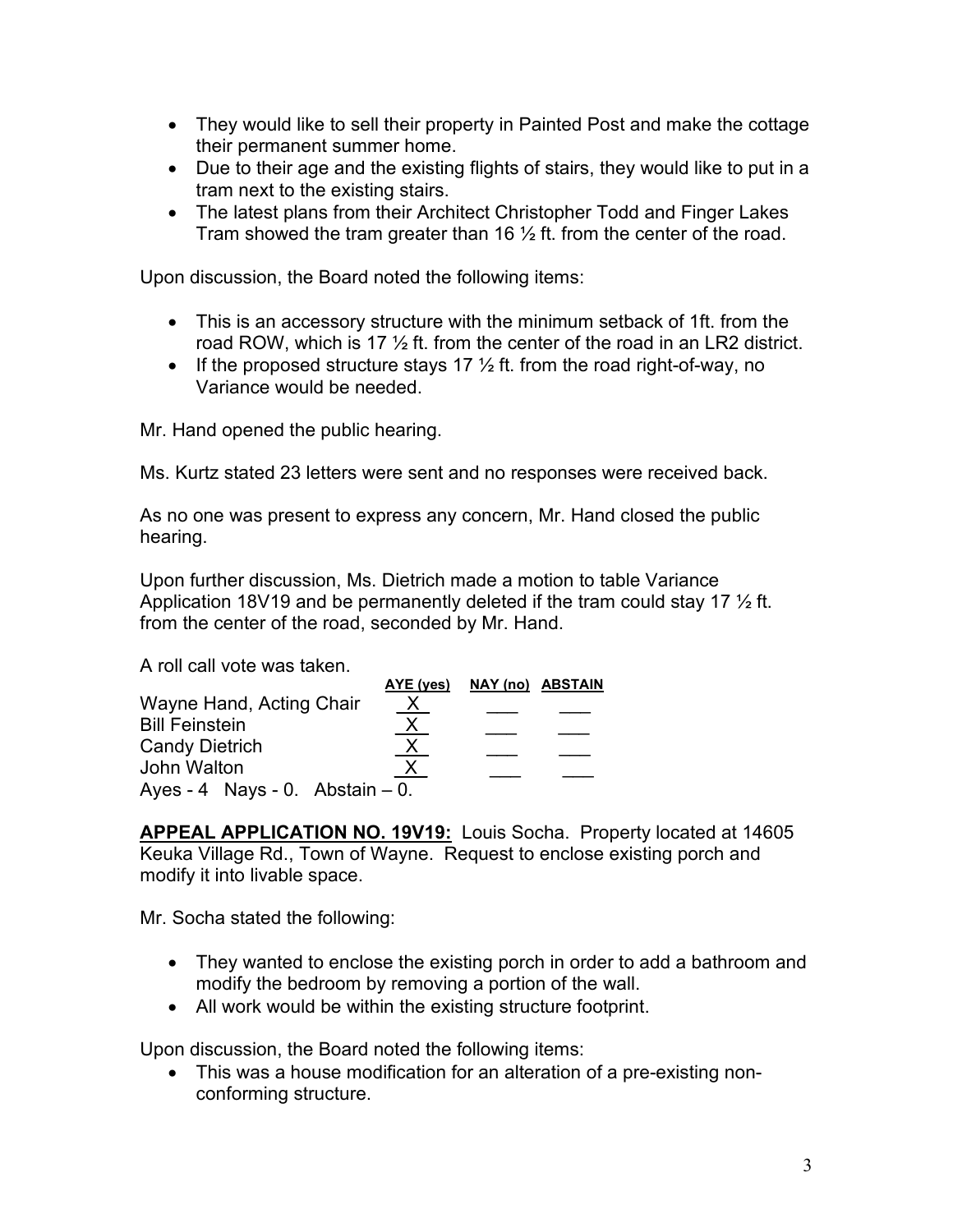- They would like to sell their property in Painted Post and make the cottage their permanent summer home.
- Due to their age and the existing flights of stairs, they would like to put in a tram next to the existing stairs.
- The latest plans from their Architect Christopher Todd and Finger Lakes Tram showed the tram greater than 16  $\frac{1}{2}$  ft. from the center of the road.

Upon discussion, the Board noted the following items:

- This is an accessory structure with the minimum setback of 1ft. from the road ROW, which is 17  $\frac{1}{2}$  ft. from the center of the road in an LR2 district.
- If the proposed structure stays 17  $\frac{1}{2}$  ft. from the road right-of-way, no Variance would be needed.

Mr. Hand opened the public hearing.

Ms. Kurtz stated 23 letters were sent and no responses were received back.

As no one was present to express any concern, Mr. Hand closed the public hearing.

Upon further discussion, Ms. Dietrich made a motion to table Variance Application 18V19 and be permanently deleted if the tram could stay 17  $\frac{1}{2}$  ft. from the center of the road, seconded by Mr. Hand.

A roll call vote was taken.

|                                   | AYE (yes) | NAY (no) ABSTAIN |  |
|-----------------------------------|-----------|------------------|--|
| Wayne Hand, Acting Chair          | <u>X</u>  |                  |  |
| <b>Bill Feinstein</b>             | <u>X</u>  |                  |  |
| <b>Candy Dietrich</b>             |           |                  |  |
| John Walton                       |           |                  |  |
|                                   |           |                  |  |
| Ayes - 4 Nays - 0. Abstain $-0$ . |           |                  |  |

**APPEAL APPLICATION NO. 19V19:** Louis Socha. Property located at 14605 Keuka Village Rd., Town of Wayne. Request to enclose existing porch and modify it into livable space.

Mr. Socha stated the following:

- They wanted to enclose the existing porch in order to add a bathroom and modify the bedroom by removing a portion of the wall.
- All work would be within the existing structure footprint.

Upon discussion, the Board noted the following items:

 This was a house modification for an alteration of a pre-existing nonconforming structure.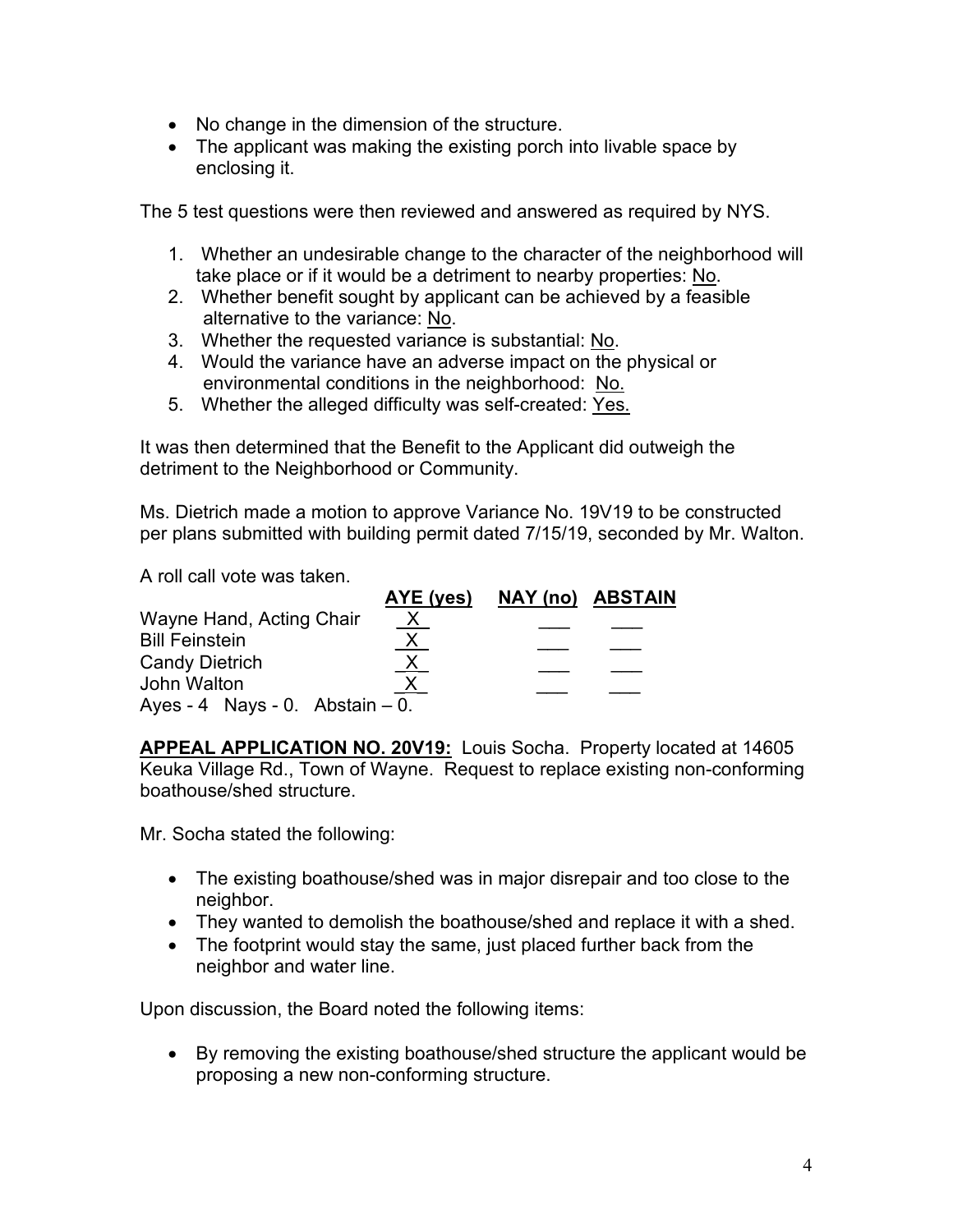- No change in the dimension of the structure.
- The applicant was making the existing porch into livable space by enclosing it.

The 5 test questions were then reviewed and answered as required by NYS.

- 1. Whether an undesirable change to the character of the neighborhood will take place or if it would be a detriment to nearby properties: No.
- 2. Whether benefit sought by applicant can be achieved by a feasible alternative to the variance: No.
- 3. Whether the requested variance is substantial: No.
- 4. Would the variance have an adverse impact on the physical or environmental conditions in the neighborhood: No.
- 5. Whether the alleged difficulty was self-created: Yes.

It was then determined that the Benefit to the Applicant did outweigh the detriment to the Neighborhood or Community.

Ms. Dietrich made a motion to approve Variance No. 19V19 to be constructed per plans submitted with building permit dated 7/15/19, seconded by Mr. Walton.

A roll call vote was taken.

|                                   | AYE (yes) | NAY (no) ABSTAIN |
|-----------------------------------|-----------|------------------|
| Wayne Hand, Acting Chair          | <u>X</u>  |                  |
| <b>Bill Feinstein</b>             |           |                  |
| <b>Candy Dietrich</b>             |           |                  |
| John Walton                       |           |                  |
| Ayes - 4 Nays - 0. Abstain $-0$ . |           |                  |

**APPEAL APPLICATION NO. 20V19:** Louis Socha. Property located at 14605 Keuka Village Rd., Town of Wayne. Request to replace existing non-conforming boathouse/shed structure.

Mr. Socha stated the following:

- The existing boathouse/shed was in major disrepair and too close to the neighbor.
- They wanted to demolish the boathouse/shed and replace it with a shed.
- The footprint would stay the same, just placed further back from the neighbor and water line.

Upon discussion, the Board noted the following items:

 By removing the existing boathouse/shed structure the applicant would be proposing a new non-conforming structure.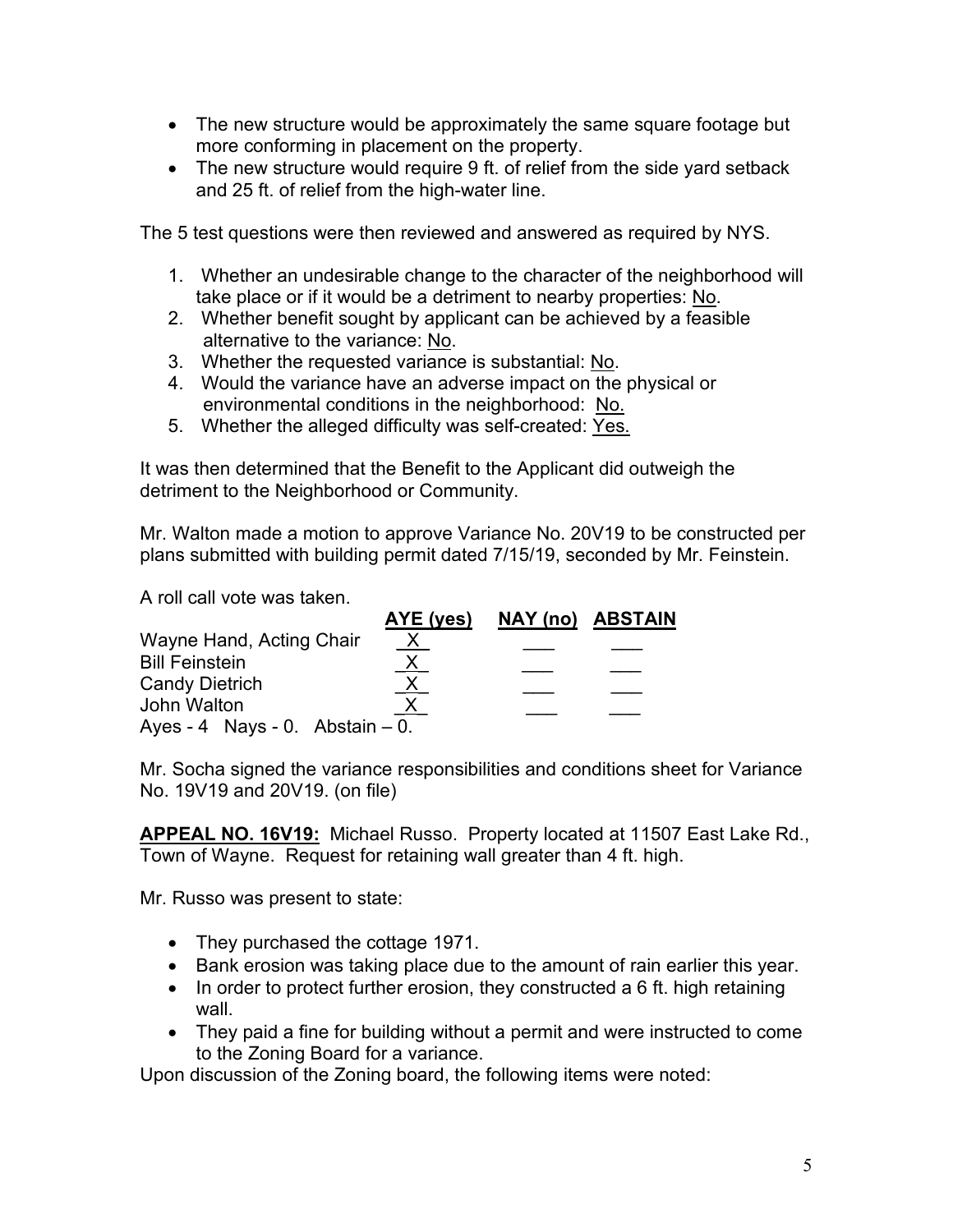- The new structure would be approximately the same square footage but more conforming in placement on the property.
- The new structure would require 9 ft. of relief from the side yard setback and 25 ft. of relief from the high-water line.

The 5 test questions were then reviewed and answered as required by NYS.

- 1. Whether an undesirable change to the character of the neighborhood will take place or if it would be a detriment to nearby properties: No.
- 2. Whether benefit sought by applicant can be achieved by a feasible alternative to the variance: No.
- 3. Whether the requested variance is substantial: No.
- 4. Would the variance have an adverse impact on the physical or environmental conditions in the neighborhood: No.
- 5. Whether the alleged difficulty was self-created: Yes.

It was then determined that the Benefit to the Applicant did outweigh the detriment to the Neighborhood or Community.

Mr. Walton made a motion to approve Variance No. 20V19 to be constructed per plans submitted with building permit dated 7/15/19, seconded by Mr. Feinstein.

A roll call vote was taken.

|                                   | AYE (yes) | NAY (no) ABSTAIN |
|-----------------------------------|-----------|------------------|
| Wayne Hand, Acting Chair          | х         |                  |
| <b>Bill Feinstein</b>             | <u>X</u>  |                  |
| <b>Candy Dietrich</b>             |           |                  |
| John Walton                       |           |                  |
| Ayes - 4 Nays - 0. Abstain $-0$ . |           |                  |

Mr. Socha signed the variance responsibilities and conditions sheet for Variance No. 19V19 and 20V19. (on file)

**APPEAL NO. 16V19:** Michael Russo. Property located at 11507 East Lake Rd., Town of Wayne. Request for retaining wall greater than 4 ft. high.

Mr. Russo was present to state:

- They purchased the cottage 1971.
- Bank erosion was taking place due to the amount of rain earlier this year.
- In order to protect further erosion, they constructed a 6 ft. high retaining wall.
- They paid a fine for building without a permit and were instructed to come to the Zoning Board for a variance.

Upon discussion of the Zoning board, the following items were noted: